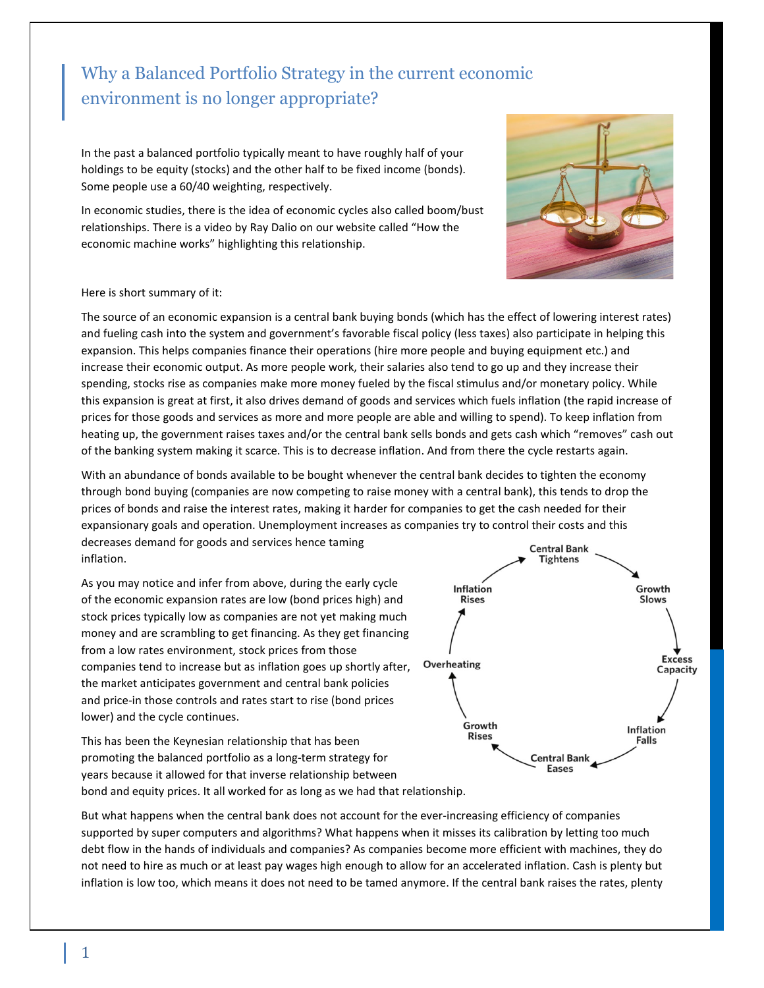## Why a Balanced Portfolio Strategy in the current economic environment is no longer appropriate?

In the past a balanced portfolio typically meant to have roughly half of your holdings to be equity (stocks) and the other half to be fixed income (bonds). Some people use a 60/40 weighting, respectively.

In economic studies, there is the idea of economic cycles also called boom/bust relationships. There is a video by Ray Dalio on our website called "How the economic machine works" highlighting this relationship.



## Here is short summary of it:

The source of an economic expansion is a central bank buying bonds (which has the effect of lowering interest rates) and fueling cash into the system and government's favorable fiscal policy (less taxes) also participate in helping this expansion. This helps companies finance their operations (hire more people and buying equipment etc.) and increase their economic output. As more people work, their salaries also tend to go up and they increase their spending, stocks rise as companies make more money fueled by the fiscal stimulus and/or monetary policy. While this expansion is great at first, it also drives demand of goods and services which fuels inflation (the rapid increase of prices for those goods and services as more and more people are able and willing to spend). To keep inflation from heating up, the government raises taxes and/or the central bank sells bonds and gets cash which "removes" cash out of the banking system making it scarce. This is to decrease inflation. And from there the cycle restarts again.

With an abundance of bonds available to be bought whenever the central bank decides to tighten the economy through bond buying (companies are now competing to raise money with a central bank), this tends to drop the prices of bonds and raise the interest rates, making it harder for companies to get the cash needed for their expansionary goals and operation. Unemployment increases as companies try to control their costs and this decreases demand for goods and services hence taming **Central Bank** inflation.

As you may notice and infer from above, during the early cycle of the economic expansion rates are low (bond prices high) and stock prices typically low as companies are not yet making much money and are scrambling to get financing. As they get financing from a low rates environment, stock prices from those companies tend to increase but as inflation goes up shortly after, the market anticipates government and central bank policies and price-in those controls and rates start to rise (bond prices lower) and the cycle continues.

This has been the Keynesian relationship that has been promoting the balanced portfolio as a long-term strategy for years because it allowed for that inverse relationship between bond and equity prices. It all worked for as long as we had that relationship.



But what happens when the central bank does not account for the ever-increasing efficiency of companies supported by super computers and algorithms? What happens when it misses its calibration by letting too much debt flow in the hands of individuals and companies? As companies become more efficient with machines, they do not need to hire as much or at least pay wages high enough to allow for an accelerated inflation. Cash is plenty but inflation is low too, which means it does not need to be tamed anymore. If the central bank raises the rates, plenty